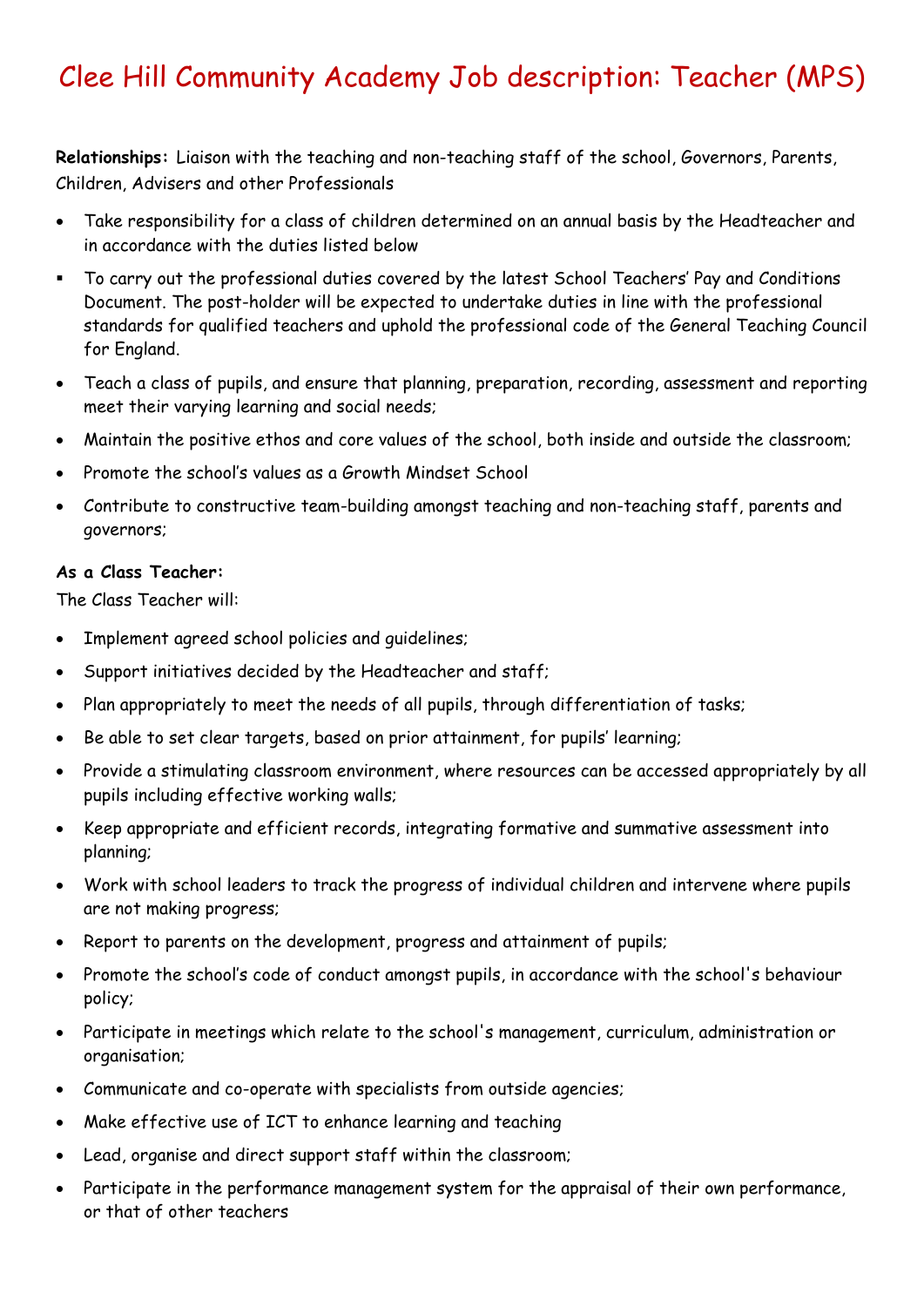## Clee Hill Community Academy Job description: Teacher (MPS)

**Relationships:** Liaison with the teaching and non-teaching staff of the school, Governors, Parents, Children, Advisers and other Professionals

- Take responsibility for a class of children determined on an annual basis by the Headteacher and in accordance with the duties listed below
- To carry out the professional duties covered by the latest School Teachers' Pay and Conditions Document. The post-holder will be expected to undertake duties in line with the professional standards for qualified teachers and uphold the professional code of the General Teaching Council for England.
- Teach a class of pupils, and ensure that planning, preparation, recording, assessment and reporting meet their varying learning and social needs;
- Maintain the positive ethos and core values of the school, both inside and outside the classroom;
- Promote the school's values as a Growth Mindset School
- Contribute to constructive team-building amongst teaching and non-teaching staff, parents and governors;

## **As a Class Teacher:**

The Class Teacher will:

- Implement agreed school policies and guidelines;
- Support initiatives decided by the Headteacher and staff;
- Plan appropriately to meet the needs of all pupils, through differentiation of tasks;
- Be able to set clear targets, based on prior attainment, for pupils' learning;
- Provide a stimulating classroom environment, where resources can be accessed appropriately by all pupils including effective working walls;
- Keep appropriate and efficient records, integrating formative and summative assessment into planning;
- Work with school leaders to track the progress of individual children and intervene where pupils are not making progress;
- Report to parents on the development, progress and attainment of pupils;
- Promote the school's code of conduct amongst pupils, in accordance with the school's behaviour policy;
- Participate in meetings which relate to the school's management, curriculum, administration or organisation;
- Communicate and co-operate with specialists from outside agencies;
- Make effective use of ICT to enhance learning and teaching
- Lead, organise and direct support staff within the classroom;
- Participate in the performance management system for the appraisal of their own performance, or that of other teachers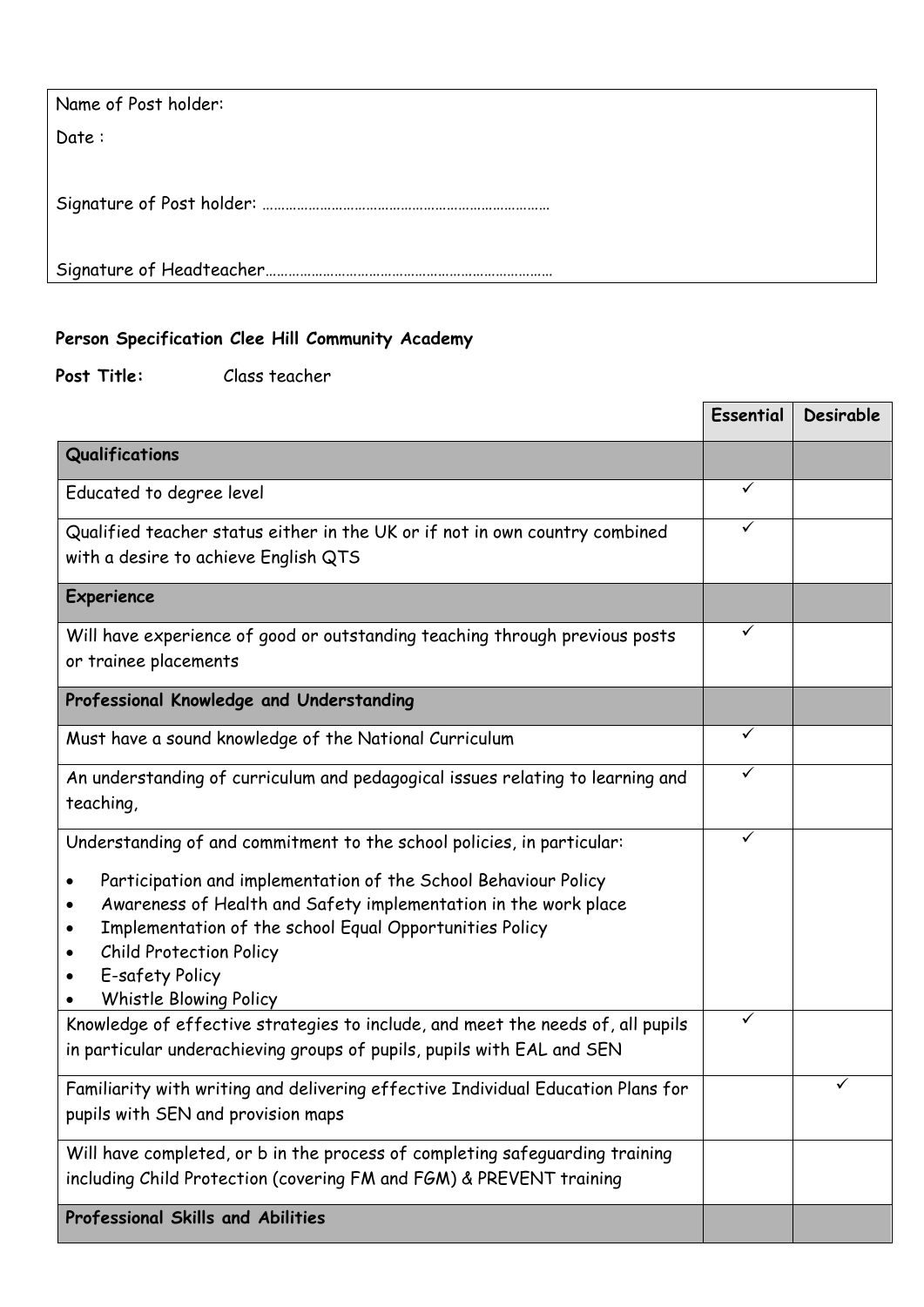| Name of Post holder: |
|----------------------|
| Date:                |
|                      |
|                      |

## **Person Specification Clee Hill Community Academy**

**Post Title:** Class teacher

|                                                                                           | Essential    | Desirable |
|-------------------------------------------------------------------------------------------|--------------|-----------|
| Qualifications                                                                            |              |           |
| Educated to degree level                                                                  | ✓            |           |
| Qualified teacher status either in the UK or if not in own country combined               | ✓            |           |
| with a desire to achieve English QTS                                                      |              |           |
| Experience                                                                                |              |           |
| Will have experience of good or outstanding teaching through previous posts               | ✓            |           |
| or trainee placements                                                                     |              |           |
| Professional Knowledge and Understanding                                                  |              |           |
| Must have a sound knowledge of the National Curriculum                                    | ✓            |           |
| An understanding of curriculum and pedagogical issues relating to learning and            | $\checkmark$ |           |
| teaching,                                                                                 |              |           |
| Understanding of and commitment to the school policies, in particular:                    | ✓            |           |
| Participation and implementation of the School Behaviour Policy                           |              |           |
| Awareness of Health and Safety implementation in the work place                           |              |           |
| Implementation of the school Equal Opportunities Policy<br><b>Child Protection Policy</b> |              |           |
| E-safety Policy                                                                           |              |           |
| Whistle Blowing Policy                                                                    |              |           |
| Knowledge of effective strategies to include, and meet the needs of, all pupils           | ✓            |           |
| in particular underachieving groups of pupils, pupils with EAL and SEN                    |              |           |
| Familiarity with writing and delivering effective Individual Education Plans for          |              | ✓         |
| pupils with SEN and provision maps                                                        |              |           |
| Will have completed, or b in the process of completing safeguarding training              |              |           |
| including Child Protection (covering FM and FGM) & PREVENT training                       |              |           |
| Professional Skills and Abilities                                                         |              |           |